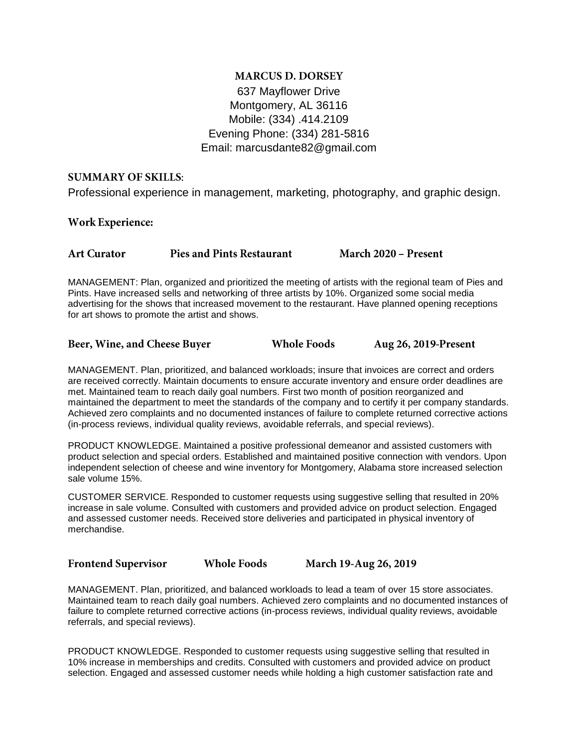## **MARCUS D. DORSEY** 637 Mayflower Drive Montgomery, AL 36116 Mobile: (334) .414.2109 Evening Phone: (334) 281-5816 Email: marcusdante82@gmail.com

### **SUMMARY OF SKILLS:**

Professional experience in management, marketing, photography, and graphic design.

### **Work Experience:**

| March 2020 - Present<br><b>Pies and Pints Restaurant</b><br><b>Art Curator</b> |  |
|--------------------------------------------------------------------------------|--|
|--------------------------------------------------------------------------------|--|

MANAGEMENT: Plan, organized and prioritized the meeting of artists with the regional team of Pies and Pints. Have increased sells and networking of three artists by 10%. Organized some social media advertising for the shows that increased movement to the restaurant. Have planned opening receptions for art shows to promote the artist and shows.

| Beer, Wine, and Cheese Buyer | <b>Whole Foods</b> | Aug 26, 2019-Present |
|------------------------------|--------------------|----------------------|
|------------------------------|--------------------|----------------------|

MANAGEMENT. Plan, prioritized, and balanced workloads; insure that invoices are correct and orders are received correctly. Maintain documents to ensure accurate inventory and ensure order deadlines are met. Maintained team to reach daily goal numbers. First two month of position reorganized and maintained the department to meet the standards of the company and to certify it per company standards. Achieved zero complaints and no documented instances of failure to complete returned corrective actions (in-process reviews, individual quality reviews, avoidable referrals, and special reviews).

PRODUCT KNOWLEDGE. Maintained a positive professional demeanor and assisted customers with product selection and special orders. Established and maintained positive connection with vendors. Upon independent selection of cheese and wine inventory for Montgomery, Alabama store increased selection sale volume 15%.

CUSTOMER SERVICE. Responded to customer requests using suggestive selling that resulted in 20% increase in sale volume. Consulted with customers and provided advice on product selection. Engaged and assessed customer needs. Received store deliveries and participated in physical inventory of merchandise.

**Frontend Supervisor** 

**Whole Foods** 

March 19-Aug 26, 2019

MANAGEMENT. Plan, prioritized, and balanced workloads to lead a team of over 15 store associates. Maintained team to reach daily goal numbers. Achieved zero complaints and no documented instances of failure to complete returned corrective actions (in-process reviews, individual quality reviews, avoidable referrals, and special reviews).

PRODUCT KNOWLEDGE. Responded to customer requests using suggestive selling that resulted in 10% increase in memberships and credits. Consulted with customers and provided advice on product selection. Engaged and assessed customer needs while holding a high customer satisfaction rate and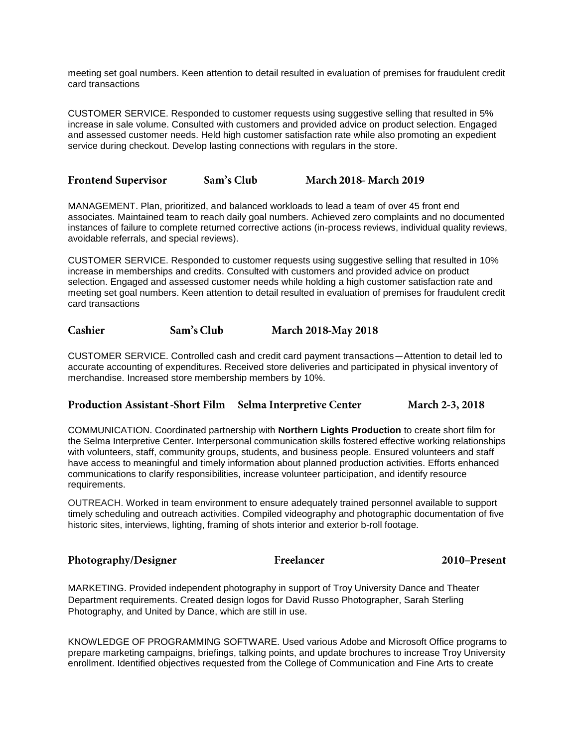meeting set goal numbers. Keen attention to detail resulted in evaluation of premises for fraudulent credit card transactions

CUSTOMER SERVICE. Responded to customer requests using suggestive selling that resulted in 5% increase in sale volume. Consulted with customers and provided advice on product selection. Engaged and assessed customer needs. Held high customer satisfaction rate while also promoting an expedient service during checkout. Develop lasting connections with regulars in the store.

**Frontend Supervisor** Sam's Club **March 2018- March 2019** 

MANAGEMENT. Plan, prioritized, and balanced workloads to lead a team of over 45 front end associates. Maintained team to reach daily goal numbers. Achieved zero complaints and no documented instances of failure to complete returned corrective actions (in-process reviews, individual quality reviews, avoidable referrals, and special reviews).

CUSTOMER SERVICE. Responded to customer requests using suggestive selling that resulted in 10% increase in memberships and credits. Consulted with customers and provided advice on product selection. Engaged and assessed customer needs while holding a high customer satisfaction rate and meeting set goal numbers. Keen attention to detail resulted in evaluation of premises for fraudulent credit card transactions

Cashier Sam's Club **March 2018-May 2018** 

CUSTOMER SERVICE. Controlled cash and credit card payment transactions—Attention to detail led to accurate accounting of expenditures. Received store deliveries and participated in physical inventory of merchandise. Increased store membership members by 10%.

### Production Assistant-Short Film Selma Interpretive Center **March 2-3, 2018**

COMMUNICATION. Coordinated partnership with **Northern Lights Production** to create short film for the Selma Interpretive Center. Interpersonal communication skills fostered effective working relationships with volunteers, staff, community groups, students, and business people. Ensured volunteers and staff have access to meaningful and timely information about planned production activities. Efforts enhanced communications to clarify responsibilities, increase volunteer participation, and identify resource requirements.

OUTREACH. Worked in team environment to ensure adequately trained personnel available to support timely scheduling and outreach activities. Compiled videography and photographic documentation of five historic sites, interviews, lighting, framing of shots interior and exterior b-roll footage.

### Photography/Designer

Freelancer

2010-Present

MARKETING. Provided independent photography in support of Troy University Dance and Theater Department requirements. Created design logos for David Russo Photographer, Sarah Sterling Photography, and United by Dance, which are still in use.

KNOWLEDGE OF PROGRAMMING SOFTWARE. Used various Adobe and Microsoft Office programs to prepare marketing campaigns, briefings, talking points, and update brochures to increase Troy University enrollment. Identified objectives requested from the College of Communication and Fine Arts to create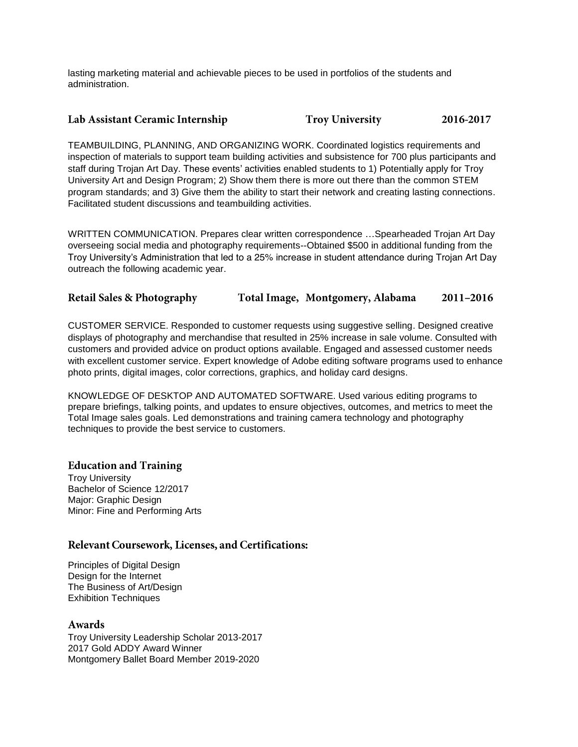lasting marketing material and achievable pieces to be used in portfolios of the students and administration.

#### Lab Assistant Ceramic Internship **Troy University** 2016-2017

TEAMBUILDING, PLANNING, AND ORGANIZING WORK. Coordinated logistics requirements and inspection of materials to support team building activities and subsistence for 700 plus participants and staff during Trojan Art Day. These events' activities enabled students to 1) Potentially apply for Troy University Art and Design Program; 2) Show them there is more out there than the common STEM program standards; and 3) Give them the ability to start their network and creating lasting connections. Facilitated student discussions and teambuilding activities.

WRITTEN COMMUNICATION. Prepares clear written correspondence …Spearheaded Trojan Art Day overseeing social media and photography requirements--Obtained \$500 in additional funding from the Troy University's Administration that led to a 25% increase in student attendance during Trojan Art Day outreach the following academic year.

#### Total Image, Montgomery, Alabama **Retail Sales & Photography** 2011-2016

CUSTOMER SERVICE. Responded to customer requests using suggestive selling. Designed creative displays of photography and merchandise that resulted in 25% increase in sale volume. Consulted with customers and provided advice on product options available. Engaged and assessed customer needs with excellent customer service. Expert knowledge of Adobe editing software programs used to enhance photo prints, digital images, color corrections, graphics, and holiday card designs.

KNOWLEDGE OF DESKTOP AND AUTOMATED SOFTWARE. Used various editing programs to prepare briefings, talking points, and updates to ensure objectives, outcomes, and metrics to meet the Total Image sales goals. Led demonstrations and training camera technology and photography techniques to provide the best service to customers.

### **Education and Training**

Troy University Bachelor of Science 12/2017 Major: Graphic Design Minor: Fine and Performing Arts

### Relevant Coursework, Licenses, and Certifications:

Principles of Digital Design Design for the Internet The Business of Art/Design Exhibition Techniques

### Awards

Troy University Leadership Scholar 2013-2017 2017 Gold ADDY Award Winner Montgomery Ballet Board Member 2019-2020